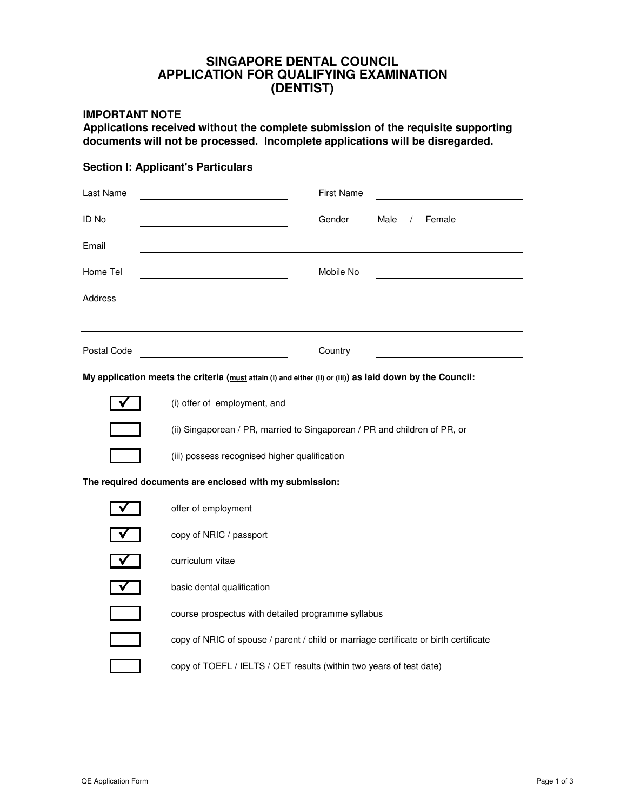### **APPLICATION FOR QUALIFYING EXAMINATION SINGAPORE DENTAL COUNCIL (DENTIST)**

### **IMPORTANT NOTE**

**Applications received without the complete submission of the requisite supporting documents will not be processed. Incomplete applications will be disregarded.**

### **Section I: Applicant's Particulars**

| Last Name                                                                                                 | <b>First Name</b>                                                                    |  |  |  |  |
|-----------------------------------------------------------------------------------------------------------|--------------------------------------------------------------------------------------|--|--|--|--|
| <b>ID No</b>                                                                                              | Gender<br>Male<br>Female<br>$\sqrt{2}$                                               |  |  |  |  |
| Email                                                                                                     |                                                                                      |  |  |  |  |
| Home Tel                                                                                                  | Mobile No                                                                            |  |  |  |  |
| Address                                                                                                   |                                                                                      |  |  |  |  |
|                                                                                                           |                                                                                      |  |  |  |  |
| Postal Code                                                                                               | Country                                                                              |  |  |  |  |
| My application meets the criteria (must attain (i) and either (ii) or (iii)) as laid down by the Council: |                                                                                      |  |  |  |  |
|                                                                                                           | (i) offer of employment, and                                                         |  |  |  |  |
|                                                                                                           | (ii) Singaporean / PR, married to Singaporean / PR and children of PR, or            |  |  |  |  |
|                                                                                                           | (iii) possess recognised higher qualification                                        |  |  |  |  |
| The required documents are enclosed with my submission:                                                   |                                                                                      |  |  |  |  |
|                                                                                                           | offer of employment                                                                  |  |  |  |  |
|                                                                                                           | copy of NRIC / passport                                                              |  |  |  |  |
|                                                                                                           | curriculum vitae                                                                     |  |  |  |  |
|                                                                                                           | basic dental qualification                                                           |  |  |  |  |
|                                                                                                           | course prospectus with detailed programme syllabus                                   |  |  |  |  |
|                                                                                                           | copy of NRIC of spouse / parent / child or marriage certificate or birth certificate |  |  |  |  |
|                                                                                                           | copy of TOEFL / IELTS / OET results (within two years of test date)                  |  |  |  |  |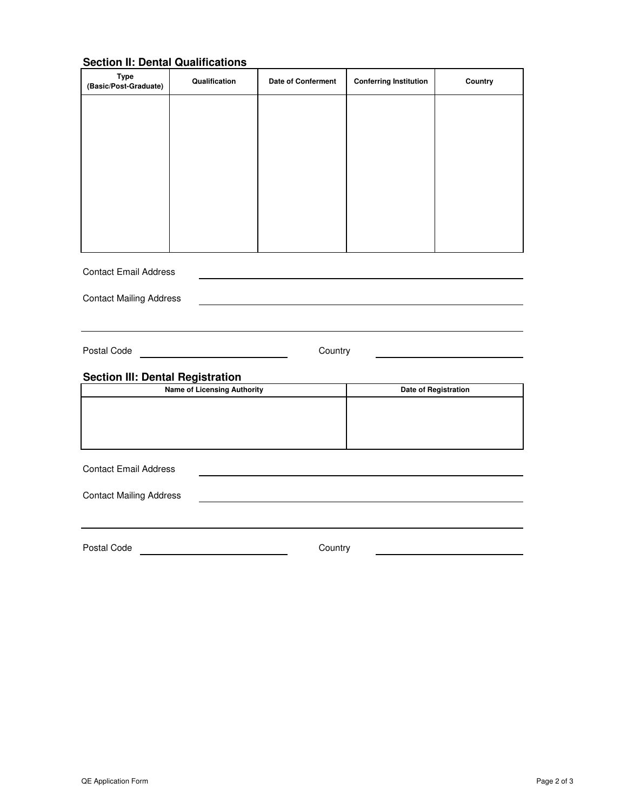# **Section II: Dental Qualifications**

| <b>Type</b><br>(Basic/Post-Graduate)    | Qualification                                              | <b>Date of Conferment</b> | <b>Conferring Institution</b> | Country              |  |  |
|-----------------------------------------|------------------------------------------------------------|---------------------------|-------------------------------|----------------------|--|--|
|                                         |                                                            |                           |                               |                      |  |  |
|                                         |                                                            |                           |                               |                      |  |  |
|                                         |                                                            |                           |                               |                      |  |  |
|                                         |                                                            |                           |                               |                      |  |  |
|                                         |                                                            |                           |                               |                      |  |  |
|                                         |                                                            |                           |                               |                      |  |  |
|                                         |                                                            |                           |                               |                      |  |  |
| <b>Contact Email Address</b>            |                                                            |                           |                               |                      |  |  |
| <b>Contact Mailing Address</b>          |                                                            |                           |                               |                      |  |  |
|                                         |                                                            |                           |                               |                      |  |  |
| Postal Code                             | Country<br><u> 1989 - Johann Barnett, fransk politik (</u> |                           |                               |                      |  |  |
| <b>Section III: Dental Registration</b> |                                                            |                           |                               |                      |  |  |
| <b>Name of Licensing Authority</b>      |                                                            |                           |                               | Date of Registration |  |  |
|                                         |                                                            |                           |                               |                      |  |  |
|                                         |                                                            |                           |                               |                      |  |  |
| <b>Contact Email Address</b>            |                                                            |                           |                               |                      |  |  |
| <b>Contact Mailing Address</b>          |                                                            |                           |                               |                      |  |  |
|                                         |                                                            |                           |                               |                      |  |  |
| Postal Code                             | Country                                                    |                           |                               |                      |  |  |